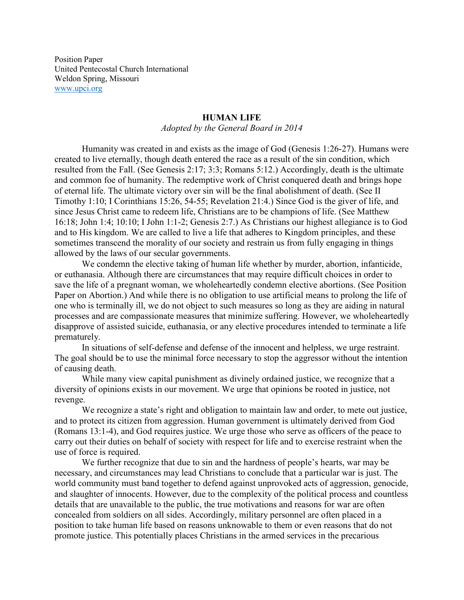Position Paper United Pentecostal Church International Weldon Spring, Missouri [www.upci.org](http://www.upci.org/)

## **HUMAN LIFE**

*Adopted by the General Board in 2014*

Humanity was created in and exists as the image of God (Genesis 1:26-27). Humans were created to live eternally, though death entered the race as a result of the sin condition, which resulted from the Fall. (See Genesis 2:17; 3:3; Romans 5:12.) Accordingly, death is the ultimate and common foe of humanity. The redemptive work of Christ conquered death and brings hope of eternal life. The ultimate victory over sin will be the final abolishment of death. (See II Timothy 1:10; I Corinthians 15:26, 54-55; Revelation 21:4.) Since God is the giver of life, and since Jesus Christ came to redeem life, Christians are to be champions of life. (See Matthew 16:18; John 1:4; 10:10; I John 1:1-2; Genesis 2:7.) As Christians our highest allegiance is to God and to His kingdom. We are called to live a life that adheres to Kingdom principles, and these sometimes transcend the morality of our society and restrain us from fully engaging in things allowed by the laws of our secular governments.

We condemn the elective taking of human life whether by murder, abortion, infanticide, or euthanasia. Although there are circumstances that may require difficult choices in order to save the life of a pregnant woman, we wholeheartedly condemn elective abortions. (See Position Paper on Abortion.) And while there is no obligation to use artificial means to prolong the life of one who is terminally ill, we do not object to such measures so long as they are aiding in natural processes and are compassionate measures that minimize suffering. However, we wholeheartedly disapprove of assisted suicide, euthanasia, or any elective procedures intended to terminate a life prematurely.

In situations of self-defense and defense of the innocent and helpless, we urge restraint. The goal should be to use the minimal force necessary to stop the aggressor without the intention of causing death.

While many view capital punishment as divinely ordained justice, we recognize that a diversity of opinions exists in our movement. We urge that opinions be rooted in justice, not revenge.

We recognize a state's right and obligation to maintain law and order, to mete out justice, and to protect its citizen from aggression. Human government is ultimately derived from God (Romans 13:1-4), and God requires justice. We urge those who serve as officers of the peace to carry out their duties on behalf of society with respect for life and to exercise restraint when the use of force is required.

We further recognize that due to sin and the hardness of people's hearts, war may be necessary, and circumstances may lead Christians to conclude that a particular war is just. The world community must band together to defend against unprovoked acts of aggression, genocide, and slaughter of innocents. However, due to the complexity of the political process and countless details that are unavailable to the public, the true motivations and reasons for war are often concealed from soldiers on all sides. Accordingly, military personnel are often placed in a position to take human life based on reasons unknowable to them or even reasons that do not promote justice. This potentially places Christians in the armed services in the precarious